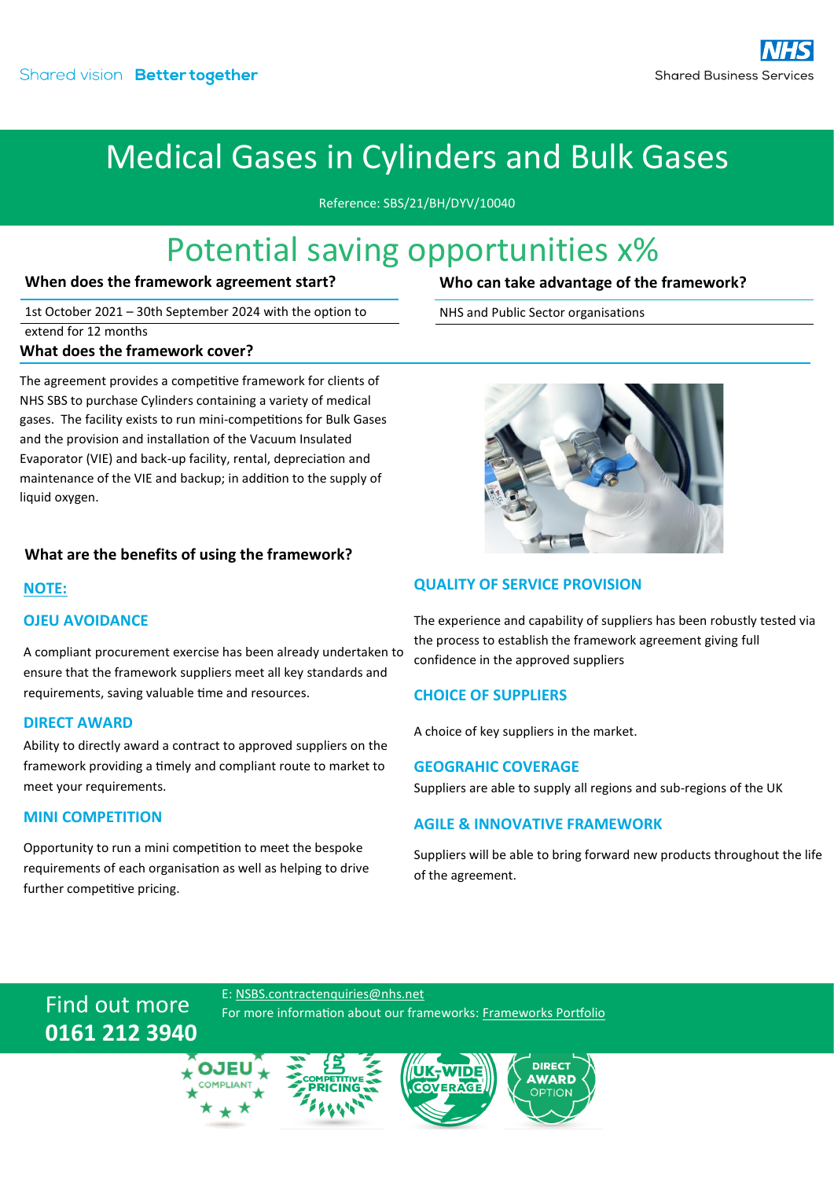## Medical Gases in Cylinders and Bulk Gases

Reference: SBS/21/BH/DYV/10040

### Potential saving opportunities x%

#### **When does the framework agreement start?**

1st October 2021 – 30th September 2024 with the option to extend for 12 months **What does the framework cover?**

The agreement provides a competitive framework for clients of NHS SBS to purchase Cylinders containing a variety of medical gases. The facility exists to run mini-competitions for Bulk Gases and the provision and installation of the Vacuum Insulated Evaporator (VIE) and back-up facility, rental, depreciation and maintenance of the VIE and backup; in addition to the supply of liquid oxygen.

#### **What are the benefits of using the framework?**

#### **NOTE:**

#### **OJEU AVOIDANCE**

A compliant procurement exercise has been already undertaken to ensure that the framework suppliers meet all key standards and requirements, saving valuable time and resources.

#### **DIRECT AWARD**

Ability to directly award a contract to approved suppliers on the framework providing a timely and compliant route to market to meet your requirements.

#### **MINI COMPETITION**

Opportunity to run a mini competition to meet the bespoke requirements of each organisation as well as helping to drive further competitive pricing.

**Who can take advantage of the framework?**

NHS and Public Sector organisations



#### **QUALITY OF SERVICE PROVISION**

The experience and capability of suppliers has been robustly tested via the process to establish the framework agreement giving full confidence in the approved suppliers

#### **CHOICE OF SUPPLIERS**

A choice of key suppliers in the market.

#### **GEOGRAHIC COVERAGE**

Suppliers are able to supply all regions and sub-regions of the UK

#### **AGILE & INNOVATIVE FRAMEWORK**

Suppliers will be able to bring forward new products throughout the life of the agreement.

### Find out more **0161 212 3940**

E: [NSBS.contractenquiries@nhs.net](mailto:NSBS.contractenquiries@nhs.net?subject=Contract%20Enquiry) For more information about our frameworks[: Frameworks Portfolio](https://www.sbs.nhs.uk/proc-framework-agreements-support)